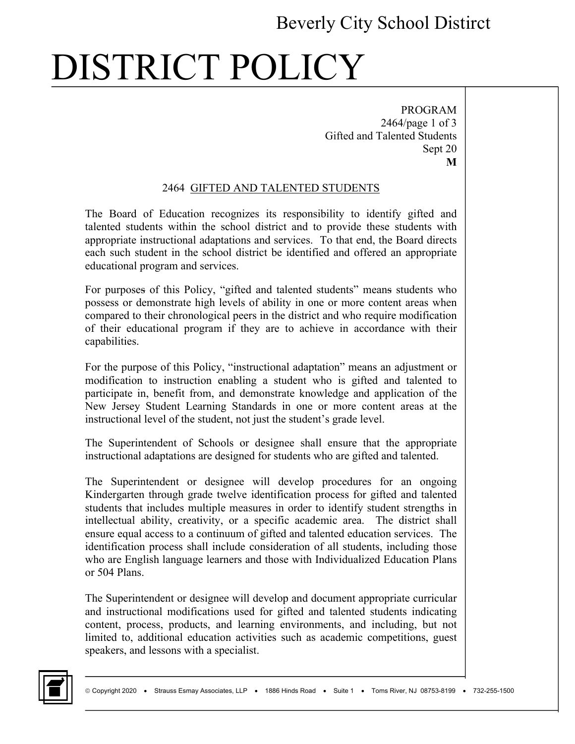### Beverly City School Distirct

# DISTRICT POLICY

PROGRAM 2464/page 1 of 3 Gifted and Talented Students Sept 20 **M**

#### 2464 GIFTED AND TALENTED STUDENTS

The Board of Education recognizes its responsibility to identify gifted and talented students within the school district and to provide these students with appropriate instructional adaptations and services. To that end, the Board directs each such student in the school district be identified and offered an appropriate educational program and services.

For purposes of this Policy, "gifted and talented students" means students who possess or demonstrate high levels of ability in one or more content areas when compared to their chronological peers in the district and who require modification of their educational program if they are to achieve in accordance with their capabilities.

For the purpose of this Policy, "instructional adaptation" means an adjustment or modification to instruction enabling a student who is gifted and talented to participate in, benefit from, and demonstrate knowledge and application of the New Jersey Student Learning Standards in one or more content areas at the instructional level of the student, not just the student's grade level.

The Superintendent of Schools or designee shall ensure that the appropriate instructional adaptations are designed for students who are gifted and talented.

The Superintendent or designee will develop procedures for an ongoing Kindergarten through grade twelve identification process for gifted and talented students that includes multiple measures in order to identify student strengths in intellectual ability, creativity, or a specific academic area. The district shall ensure equal access to a continuum of gifted and talented education services. The identification process shall include consideration of all students, including those who are English language learners and those with Individualized Education Plans or 504 Plans.

The Superintendent or designee will develop and document appropriate curricular and instructional modifications used for gifted and talented students indicating content, process, products, and learning environments, and including, but not limited to, additional education activities such as academic competitions, guest speakers, and lessons with a specialist.

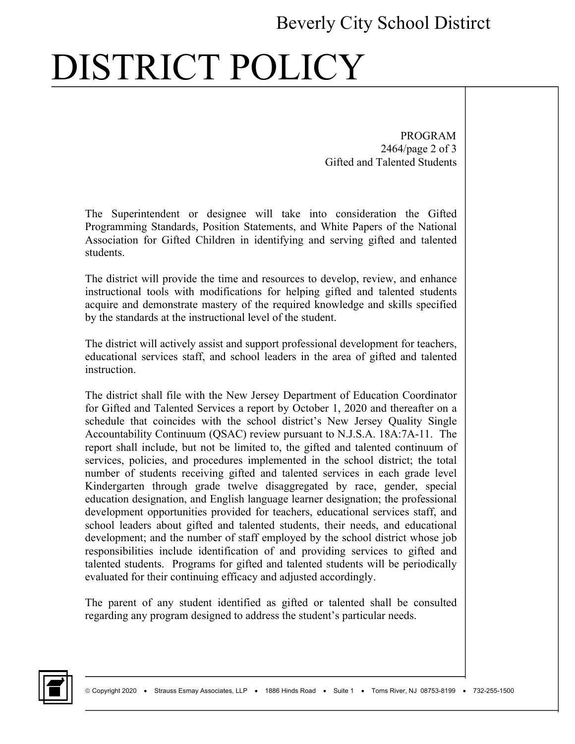#### Beverly City School Distirct

# DISTRICT POLICY

 PROGRAM 2464/page 2 of 3 Gifted and Talented Students

The Superintendent or designee will take into consideration the Gifted Programming Standards, Position Statements, and White Papers of the National Association for Gifted Children in identifying and serving gifted and talented students.

The district will provide the time and resources to develop, review, and enhance instructional tools with modifications for helping gifted and talented students acquire and demonstrate mastery of the required knowledge and skills specified by the standards at the instructional level of the student.

The district will actively assist and support professional development for teachers, educational services staff, and school leaders in the area of gifted and talented instruction.

The district shall file with the New Jersey Department of Education Coordinator for Gifted and Talented Services a report by October 1, 2020 and thereafter on a schedule that coincides with the school district's New Jersey Quality Single Accountability Continuum (QSAC) review pursuant to N.J.S.A. 18A:7A-11. The report shall include, but not be limited to, the gifted and talented continuum of services, policies, and procedures implemented in the school district; the total number of students receiving gifted and talented services in each grade level Kindergarten through grade twelve disaggregated by race, gender, special education designation, and English language learner designation; the professional development opportunities provided for teachers, educational services staff, and school leaders about gifted and talented students, their needs, and educational development; and the number of staff employed by the school district whose job responsibilities include identification of and providing services to gifted and talented students. Programs for gifted and talented students will be periodically evaluated for their continuing efficacy and adjusted accordingly.

The parent of any student identified as gifted or talented shall be consulted regarding any program designed to address the student's particular needs.